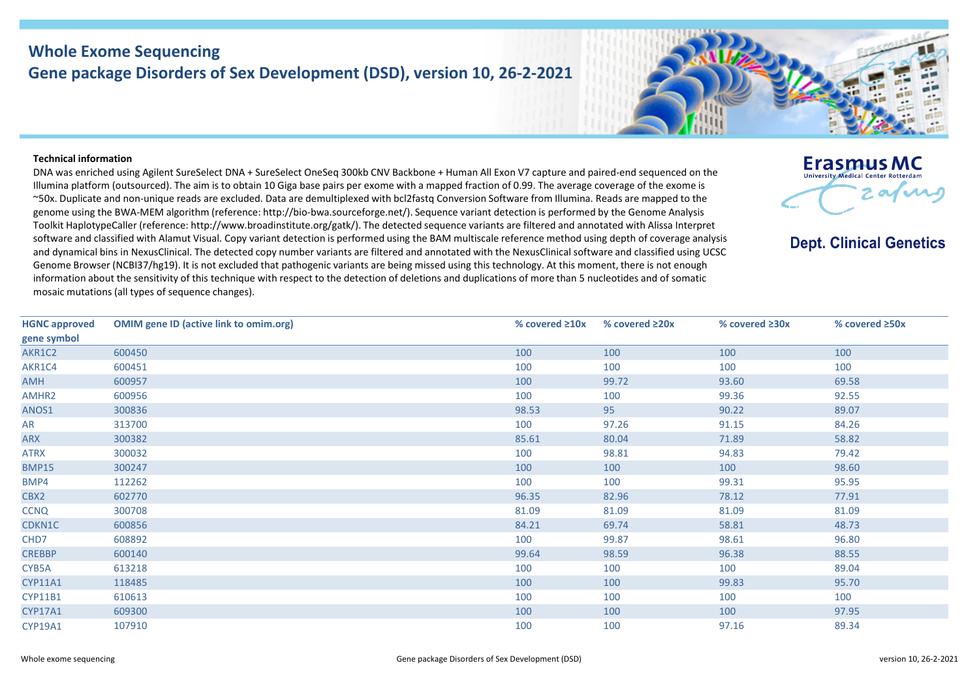## **Whole Exome Sequencing Gene package Disorders of Sex Development (DSD), version 10, 26-2-2021**

## **Technical information**

DNA was enriched using Agilent SureSelect DNA + SureSelect OneSeq 300kb CNV Backbone + Human All Exon V7 capture and paired-end sequenced on the Illumina platform (outsourced). The aim is to obtain 10 Giga base pairs per exome with a mapped fraction of 0.99. The average coverage of the exome is ~50x. Duplicate and non-unique reads are excluded. Data are demultiplexed with bcl2fastq Conversion Software from Illumina. Reads are mapped to the genome using the BWA-MEM algorithm (reference: http://bio-bwa.sourceforge.net/). Sequence variant detection is performed by the Genome Analysis Toolkit HaplotypeCaller (reference: http://www.broadinstitute.org/gatk/). The detected sequence variants are filtered and annotated with Alissa Interpret software and classified with Alamut Visual. Copy variant detection is performed using the BAM multiscale reference method using depth of coverage analysis and dynamical bins in NexusClinical. The detected copy number variants are filtered and annotated with the NexusClinical software and classified using UCSC Genome Browser (NCBI37/hg19). It is not excluded that pathogenic variants are being missed using this technology. At this moment, there is not enough information about the sensitivity of this technique with respect to the detection of deletions and duplications of more than 5 nucleotides and of somatic mosaic mutations (all types of sequence changes).

| <b>HGNC approved</b> | <b>OMIM gene ID (active link to omim.org)</b> | % covered $\geq 10x$ | % covered $\geq 20x$ | % covered $\geq 30x$ | % covered $\geq$ 50x |
|----------------------|-----------------------------------------------|----------------------|----------------------|----------------------|----------------------|
| gene symbol          |                                               |                      |                      |                      |                      |
| AKR1C2               | 600450                                        | 100                  | 100                  | 100                  | 100                  |
| AKR1C4               | 600451                                        | 100                  | 100                  | 100                  | 100                  |
| <b>HMA</b>           | 600957                                        | 100                  | 99.72                | 93.60                | 69.58                |
| AMHR2                | 600956                                        | 100                  | 100                  | 99.36                | 92.55                |
| ANOS1                | 300836                                        | 98.53                | 95                   | 90.22                | 89.07                |
| AR                   | 313700                                        | 100                  | 97.26                | 91.15                | 84.26                |
| ARX                  | 300382                                        | 85.61                | 80.04                | 71.89                | 58.82                |
| <b>ATRX</b>          | 300032                                        | 100                  | 98.81                | 94.83                | 79.42                |
| <b>BMP15</b>         | 300247                                        | 100                  | 100                  | 100                  | 98.60                |
| BMP4                 | 112262                                        | 100                  | 100                  | 99.31                | 95.95                |
| CBX2                 | 602770                                        | 96.35                | 82.96                | 78.12                | 77.91                |
| <b>CCNQ</b>          | 300708                                        | 81.09                | 81.09                | 81.09                | 81.09                |
| CDKN1C               | 600856                                        | 84.21                | 69.74                | 58.81                | 48.73                |
| CHD7                 | 608892                                        | 100                  | 99.87                | 98.61                | 96.80                |
| <b>CREBBP</b>        | 600140                                        | 99.64                | 98.59                | 96.38                | 88.55                |
| CYB5A                | 613218                                        | 100                  | 100                  | 100                  | 89.04                |
| <b>CYP11A1</b>       | 118485                                        | 100                  | 100                  | 99.83                | 95.70                |
| <b>CYP11B1</b>       | 610613                                        | 100                  | 100                  | 100                  | 100                  |
| <b>CYP17A1</b>       | 609300                                        | 100                  | 100                  | 100                  | 97.95                |
| CYP19A1              | 107910                                        | 100                  | 100                  | 97.16                | 89.34                |
|                      |                                               |                      |                      |                      |                      |



**Erasmus MC University Medical Center Rotterdam** 

**Dept. Clinical Genetics** 

arne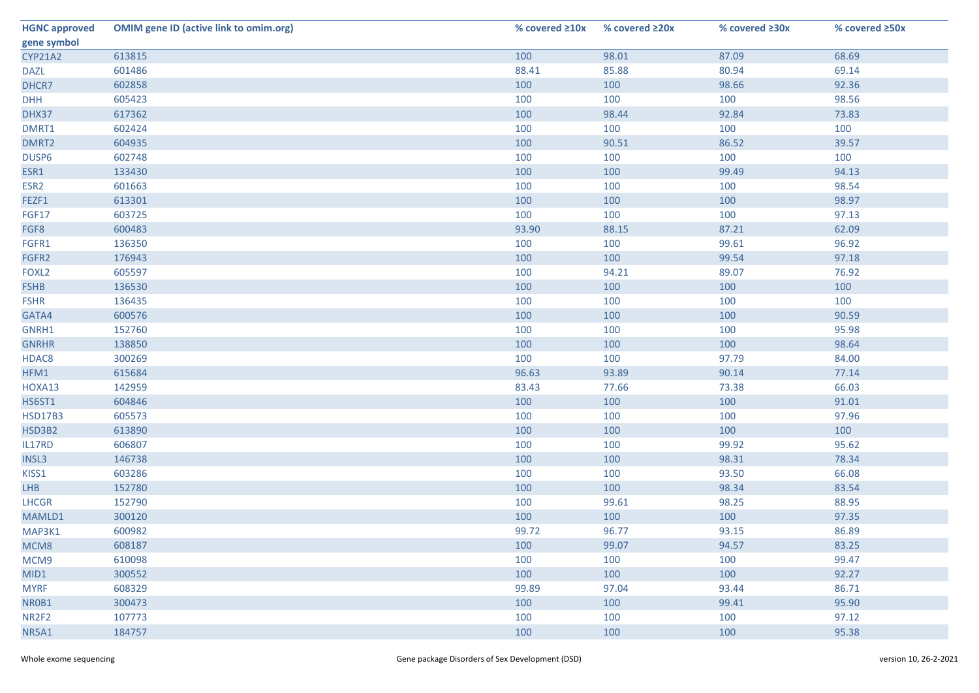| <b>HGNC approved</b> | <b>OMIM gene ID (active link to omim.org)</b> | % covered $\geq 10x$ | % covered ≥20x | % covered ≥30x | % covered ≥50x |
|----------------------|-----------------------------------------------|----------------------|----------------|----------------|----------------|
| gene symbol          |                                               |                      |                |                |                |
| <b>CYP21A2</b>       | 613815                                        | 100                  | 98.01          | 87.09          | 68.69          |
| <b>DAZL</b>          | 601486                                        | 88.41                | 85.88          | 80.94          | 69.14          |
| DHCR7                | 602858                                        | 100                  | 100            | 98.66          | 92.36          |
| <b>DHH</b>           | 605423                                        | 100                  | 100            | 100            | 98.56          |
| DHX37                | 617362                                        | 100                  | 98.44          | 92.84          | 73.83          |
| DMRT1                | 602424                                        | 100                  | 100            | 100            | 100            |
| DMRT2                | 604935                                        | 100                  | 90.51          | 86.52          | 39.57          |
| DUSP6                | 602748                                        | 100                  | 100            | 100            | 100            |
| ESR1                 | 133430                                        | 100                  | 100            | 99.49          | 94.13          |
| ESR <sub>2</sub>     | 601663                                        | 100                  | 100            | 100            | 98.54          |
| FEZF1                | 613301                                        | 100                  | 100            | 100            | 98.97          |
| FGF17                | 603725                                        | 100                  | 100            | 100            | 97.13          |
| FGF8                 | 600483                                        | 93.90                | 88.15          | 87.21          | 62.09          |
| FGFR1                | 136350                                        | 100                  | 100            | 99.61          | 96.92          |
| FGFR2                | 176943                                        | 100                  | 100            | 99.54          | 97.18          |
| FOXL <sub>2</sub>    | 605597                                        | 100                  | 94.21          | 89.07          | 76.92          |
| <b>FSHB</b>          | 136530                                        | 100                  | 100            | 100            | 100            |
| <b>FSHR</b>          | 136435                                        | 100                  | 100            | 100            | 100            |
| GATA4                | 600576                                        | 100                  | 100            | 100            | 90.59          |
| GNRH1                | 152760                                        | 100                  | 100            | 100            | 95.98          |
| <b>GNRHR</b>         | 138850                                        | 100                  | 100            | 100            | 98.64          |
| HDAC8                | 300269                                        | 100                  | 100            | 97.79          | 84.00          |
| HFM1                 | 615684                                        | 96.63                | 93.89          | 90.14          | 77.14          |
| HOXA13               | 142959                                        | 83.43                | 77.66          | 73.38          | 66.03          |
| <b>HS6ST1</b>        | 604846                                        | 100                  | 100            | 100            | 91.01          |
| <b>HSD17B3</b>       | 605573                                        | 100                  | 100            | 100            | 97.96          |
| HSD3B2               | 613890                                        | 100                  | 100            | 100            | 100            |
| IL17RD               | 606807                                        | 100                  | 100            | 99.92          | 95.62          |
| INSL3                | 146738                                        | 100                  | 100            | 98.31          | 78.34          |
| KISS1                | 603286                                        | 100                  | 100            | 93.50          | 66.08          |
| <b>LHB</b>           | 152780                                        | 100                  | 100            | 98.34          | 83.54          |
| <b>LHCGR</b>         | 152790                                        | 100                  | 99.61          | 98.25          | 88.95          |
| MAMLD1               | 300120                                        | 100                  | 100            | 100            | 97.35          |
| MAP3K1               | 600982                                        | 99.72                | 96.77          | 93.15          | 86.89          |
| MCM8                 | 608187                                        | 100                  | 99.07          | 94.57          | 83.25          |
| MCM9                 | 610098                                        | 100                  | 100            | 100            | 99.47          |
| MID1                 | 300552                                        | 100                  | 100            | 100            | 92.27          |
| <b>MYRF</b>          | 608329                                        | 99.89                | 97.04          | 93.44          | 86.71          |
| NR0B1                | 300473                                        | 100                  | 100            | 99.41          | 95.90          |
| NR <sub>2F2</sub>    | 107773                                        | 100                  | 100            | 100            | 97.12          |
| NR5A1                | 184757                                        | 100                  | 100            | 100            | 95.38          |